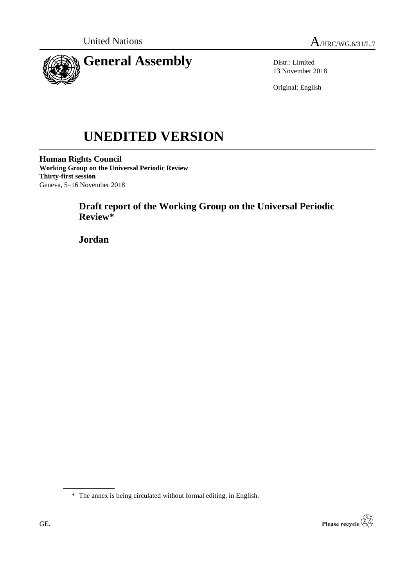



Distr.: Limited 13 November 2018

Original: English

# **UNEDITED VERSION**

**Human Rights Council Working Group on the Universal Periodic Review Thirty-first session** Geneva, 5–16 November 2018

# **Draft report of the Working Group on the Universal Periodic Review\***

**Jordan**

\* The annex is being circulated without formal editing, in English.

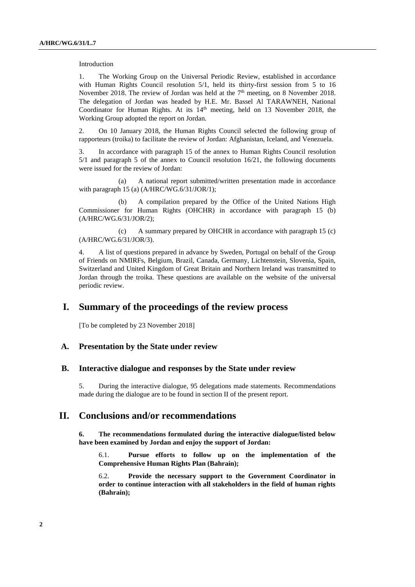Introduction

1. The Working Group on the Universal Periodic Review, established in accordance with Human Rights Council resolution 5/1, held its thirty-first session from 5 to 16 November 2018. The review of Jordan was held at the  $7<sup>th</sup>$  meeting, on 8 November 2018. The delegation of Jordan was headed by H.E. Mr. Bassel Al TARAWNEH, National Coordinator for Human Rights. At its 14<sup>th</sup> meeting, held on 13 November 2018, the Working Group adopted the report on Jordan.

2. On 10 January 2018, the Human Rights Council selected the following group of rapporteurs (troika) to facilitate the review of Jordan: Afghanistan, Iceland, and Venezuela.

3. In accordance with paragraph 15 of the annex to Human Rights Council resolution 5/1 and paragraph 5 of the annex to Council resolution 16/21, the following documents were issued for the review of Jordan:

(a) A national report submitted/written presentation made in accordance with paragraph 15 (a) (A/HRC/WG.6/31/JOR/1);

(b) A compilation prepared by the Office of the United Nations High Commissioner for Human Rights (OHCHR) in accordance with paragraph 15 (b) (A/HRC/WG.6/31/JOR/2);

(c) A summary prepared by OHCHR in accordance with paragraph 15 (c) (A/HRC/WG.6/31/JOR/3).

4. A list of questions prepared in advance by Sweden, Portugal on behalf of the Group of Friends on NMIRFs, Belgium, Brazil, Canada, Germany, Lichtenstein, Slovenia, Spain, Switzerland and United Kingdom of Great Britain and Northern Ireland was transmitted to Jordan through the troika. These questions are available on the website of the universal periodic review.

## **I. Summary of the proceedings of the review process**

[To be completed by 23 November 2018]

#### **A. Presentation by the State under review**

#### **B. Interactive dialogue and responses by the State under review**

5. During the interactive dialogue, 95 delegations made statements. Recommendations made during the dialogue are to be found in section II of the present report.

## **II. Conclusions and/or recommendations**

**6. The recommendations formulated during the interactive dialogue/listed below have been examined by Jordan and enjoy the support of Jordan:**

6.1. **Pursue efforts to follow up on the implementation of the Comprehensive Human Rights Plan (Bahrain);**

6.2. **Provide the necessary support to the Government Coordinator in order to continue interaction with all stakeholders in the field of human rights (Bahrain);**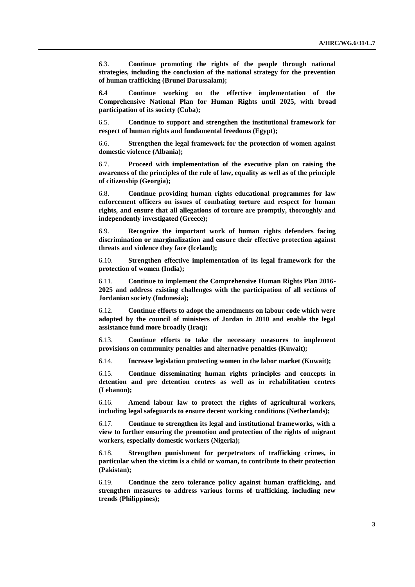6.3. **Continue promoting the rights of the people through national strategies, including the conclusion of the national strategy for the prevention of human trafficking (Brunei Darussalam);**

**6.4 Continue working on the effective implementation of the Comprehensive National Plan for Human Rights until 2025, with broad participation of its society (Cuba);**

6.5. **Continue to support and strengthen the institutional framework for respect of human rights and fundamental freedoms (Egypt);**

6.6. **Strengthen the legal framework for the protection of women against domestic violence (Albania);**

6.7. **Proceed with implementation of the executive plan on raising the awareness of the principles of the rule of law, equality as well as of the principle of citizenship (Georgia);**

6.8. **Continue providing human rights educational programmes for law enforcement officers on issues of combating torture and respect for human rights, and ensure that all allegations of torture are promptly, thoroughly and independently investigated (Greece);**

6.9. **Recognize the important work of human rights defenders facing discrimination or marginalization and ensure their effective protection against threats and violence they face (Iceland);**

6.10. **Strengthen effective implementation of its legal framework for the protection of women (India);**

6.11. **Continue to implement the Comprehensive Human Rights Plan 2016- 2025 and address existing challenges with the participation of all sections of Jordanian society (Indonesia);**

6.12. **Continue efforts to adopt the amendments on labour code which were adopted by the council of ministers of Jordan in 2010 and enable the legal assistance fund more broadly (Iraq);**

6.13. **Continue efforts to take the necessary measures to implement provisions on community penalties and alternative penalties (Kuwait);**

6.14. **Increase legislation protecting women in the labor market (Kuwait);**

6.15. **Continue disseminating human rights principles and concepts in detention and pre detention centres as well as in rehabilitation centres (Lebanon);**

6.16. **Amend labour law to protect the rights of agricultural workers, including legal safeguards to ensure decent working conditions (Netherlands);**

6.17. **Continue to strengthen its legal and institutional frameworks, with a view to further ensuring the promotion and protection of the rights of migrant workers, especially domestic workers (Nigeria);**

6.18. **Strengthen punishment for perpetrators of trafficking crimes, in particular when the victim is a child or woman, to contribute to their protection (Pakistan);**

6.19. **Continue the zero tolerance policy against human trafficking, and strengthen measures to address various forms of trafficking, including new trends (Philippines);**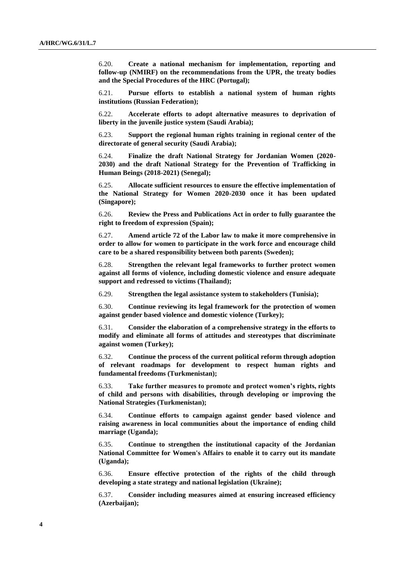6.20. **Create a national mechanism for implementation, reporting and follow-up (NMIRF) on the recommendations from the UPR, the treaty bodies and the Special Procedures of the HRC (Portugal);**

6.21. **Pursue efforts to establish a national system of human rights institutions (Russian Federation);**

6.22. **Accelerate efforts to adopt alternative measures to deprivation of liberty in the juvenile justice system (Saudi Arabia);**

6.23. **Support the regional human rights training in regional center of the directorate of general security (Saudi Arabia);**

6.24. **Finalize the draft National Strategy for Jordanian Women (2020- 2030) and the draft National Strategy for the Prevention of Trafficking in Human Beings (2018-2021) (Senegal);**

6.25. **Allocate sufficient resources to ensure the effective implementation of the National Strategy for Women 2020-2030 once it has been updated (Singapore);**

6.26. **Review the Press and Publications Act in order to fully guarantee the right to freedom of expression (Spain);**

6.27. **Amend article 72 of the Labor law to make it more comprehensive in order to allow for women to participate in the work force and encourage child care to be a shared responsibility between both parents (Sweden);**

6.28. **Strengthen the relevant legal frameworks to further protect women against all forms of violence, including domestic violence and ensure adequate support and redressed to victims (Thailand);**

6.29. **Strengthen the legal assistance system to stakeholders (Tunisia);**

6.30. **Continue reviewing its legal framework for the protection of women against gender based violence and domestic violence (Turkey);**

6.31. **Consider the elaboration of a comprehensive strategy in the efforts to modify and eliminate all forms of attitudes and stereotypes that discriminate against women (Turkey);**

6.32. **Continue the process of the current political reform through adoption of relevant roadmaps for development to respect human rights and fundamental freedoms (Turkmenistan);**

6.33. **Take further measures to promote and protect women's rights, rights of child and persons with disabilities, through developing or improving the National Strategies (Turkmenistan);**

6.34. **Continue efforts to campaign against gender based violence and raising awareness in local communities about the importance of ending child marriage (Uganda);**

6.35. **Continue to strengthen the institutional capacity of the Jordanian National Committee for Women's Affairs to enable it to carry out its mandate (Uganda);**

6.36. **Ensure effective protection of the rights of the child through developing a state strategy and national legislation (Ukraine);**

6.37. **Consider including measures aimed at ensuring increased efficiency (Azerbaijan);**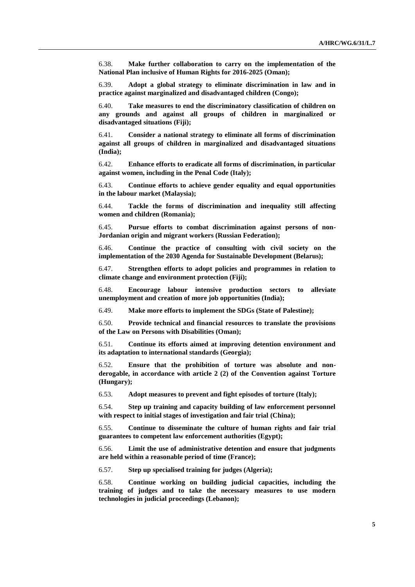6.38. **Make further collaboration to carry on the implementation of the National Plan inclusive of Human Rights for 2016-2025 (Oman);**

6.39. **Adopt a global strategy to eliminate discrimination in law and in practice against marginalized and disadvantaged children (Congo);**

6.40. **Take measures to end the discriminatory classification of children on any grounds and against all groups of children in marginalized or disadvantaged situations (Fiji);**

6.41. **Consider a national strategy to eliminate all forms of discrimination against all groups of children in marginalized and disadvantaged situations (India);**

6.42. **Enhance efforts to eradicate all forms of discrimination, in particular against women, including in the Penal Code (Italy);**

6.43. **Continue efforts to achieve gender equality and equal opportunities in the labour market (Malaysia);**

6.44. **Tackle the forms of discrimination and inequality still affecting women and children (Romania);**

6.45. **Pursue efforts to combat discrimination against persons of non-Jordanian origin and migrant workers (Russian Federation);**

6.46. **Continue the practice of consulting with civil society on the implementation of the 2030 Agenda for Sustainable Development (Belarus);**

6.47. **Strengthen efforts to adopt policies and programmes in relation to climate change and environment protection (Fiji);**

6.48. **Encourage labour intensive production sectors to alleviate unemployment and creation of more job opportunities (India);**

6.49. **Make more efforts to implement the SDGs (State of Palestine);**

6.50. **Provide technical and financial resources to translate the provisions of the Law on Persons with Disabilities (Oman);**

6.51. **Continue its efforts aimed at improving detention environment and its adaptation to international standards (Georgia);**

6.52. **Ensure that the prohibition of torture was absolute and nonderogable, in accordance with article 2 (2) of the Convention against Torture (Hungary);**

6.53. **Adopt measures to prevent and fight episodes of torture (Italy);**

6.54. **Step up training and capacity building of law enforcement personnel with respect to initial stages of investigation and fair trial (China);**

6.55. **Continue to disseminate the culture of human rights and fair trial guarantees to competent law enforcement authorities (Egypt);**

6.56. **Limit the use of administrative detention and ensure that judgments are held within a reasonable period of time (France);**

6.57. **Step up specialised training for judges (Algeria);**

6.58. **Continue working on building judicial capacities, including the training of judges and to take the necessary measures to use modern technologies in judicial proceedings (Lebanon);**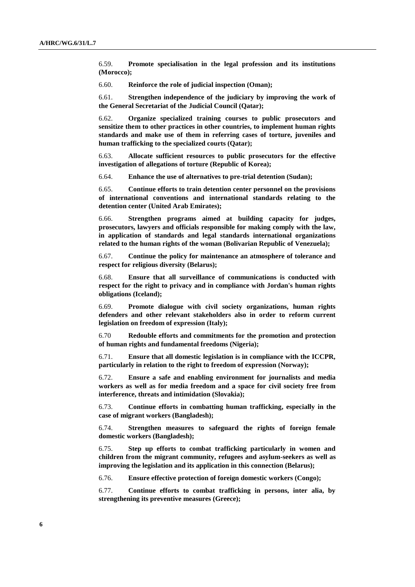6.59. **Promote specialisation in the legal profession and its institutions (Morocco);**

6.60. **Reinforce the role of judicial inspection (Oman);**

6.61. **Strengthen independence of the judiciary by improving the work of the General Secretariat of the Judicial Council (Qatar);**

6.62. **Organize specialized training courses to public prosecutors and sensitize them to other practices in other countries, to implement human rights standards and make use of them in referring cases of torture, juveniles and human trafficking to the specialized courts (Qatar);**

6.63. **Allocate sufficient resources to public prosecutors for the effective investigation of allegations of torture (Republic of Korea);**

6.64. **Enhance the use of alternatives to pre-trial detention (Sudan);**

6.65. **Continue efforts to train detention center personnel on the provisions of international conventions and international standards relating to the detention center (United Arab Emirates);**

6.66. **Strengthen programs aimed at building capacity for judges, prosecutors, lawyers and officials responsible for making comply with the law, in application of standards and legal standards international organizations related to the human rights of the woman (Bolivarian Republic of Venezuela);**

6.67. **Continue the policy for maintenance an atmosphere of tolerance and respect for religious diversity (Belarus);**

6.68. **Ensure that all surveillance of communications is conducted with respect for the right to privacy and in compliance with Jordan's human rights obligations (Iceland);**

6.69. **Promote dialogue with civil society organizations, human rights defenders and other relevant stakeholders also in order to reform current legislation on freedom of expression (Italy);**

6.70 **Redouble efforts and commitments for the promotion and protection of human rights and fundamental freedoms (Nigeria);**

6.71. **Ensure that all domestic legislation is in compliance with the ICCPR, particularly in relation to the right to freedom of expression (Norway);**

6.72. **Ensure a safe and enabling environment for journalists and media workers as well as for media freedom and a space for civil society free from interference, threats and intimidation (Slovakia);**

6.73. **Continue efforts in combatting human trafficking, especially in the case of migrant workers (Bangladesh);**

6.74. **Strengthen measures to safeguard the rights of foreign female domestic workers (Bangladesh);**

6.75. **Step up efforts to combat trafficking particularly in women and children from the migrant community, refugees and asylum-seekers as well as improving the legislation and its application in this connection (Belarus);**

6.76. **Ensure effective protection of foreign domestic workers (Congo);**

6.77. **Continue efforts to combat trafficking in persons, inter alia, by strengthening its preventive measures (Greece);**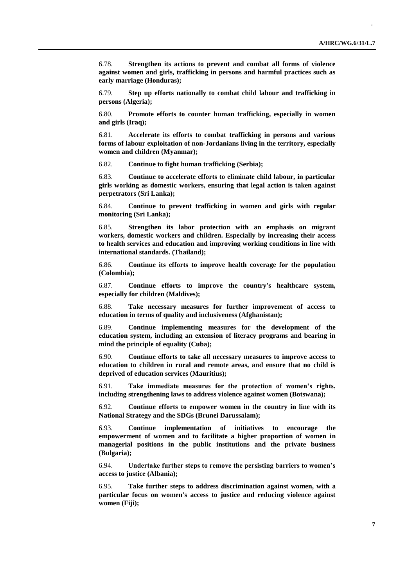6.78. **Strengthen its actions to prevent and combat all forms of violence against women and girls, trafficking in persons and harmful practices such as early marriage (Honduras);**

6.79. **Step up efforts nationally to combat child labour and trafficking in persons (Algeria);**

6.80. **Promote efforts to counter human trafficking, especially in women and girls (Iraq);**

6.81. **Accelerate its efforts to combat trafficking in persons and various forms of labour exploitation of non-Jordanians living in the territory, especially women and children (Myanmar);**

6.82. **Continue to fight human trafficking (Serbia);**

6.83. **Continue to accelerate efforts to eliminate child labour, in particular girls working as domestic workers, ensuring that legal action is taken against perpetrators (Sri Lanka);**

6.84. **Continue to prevent trafficking in women and girls with regular monitoring (Sri Lanka);**

6.85. **Strengthen its labor protection with an emphasis on migrant workers, domestic workers and children. Especially by increasing their access to health services and education and improving working conditions in line with international standards. (Thailand);**

6.86. **Continue its efforts to improve health coverage for the population (Colombia);**

6.87. **Continue efforts to improve the country's healthcare system, especially for children (Maldives);**

6.88. **Take necessary measures for further improvement of access to education in terms of quality and inclusiveness (Afghanistan);**

6.89. **Continue implementing measures for the development of the education system, including an extension of literacy programs and bearing in mind the principle of equality (Cuba);**

6.90. **Continue efforts to take all necessary measures to improve access to education to children in rural and remote areas, and ensure that no child is deprived of education services (Mauritius);**

6.91. **Take immediate measures for the protection of women's rights, including strengthening laws to address violence against women (Botswana);**

6.92. **Continue efforts to empower women in the country in line with its National Strategy and the SDGs (Brunei Darussalam);**

6.93. **Continue implementation of initiatives to encourage the empowerment of women and to facilitate a higher proportion of women in managerial positions in the public institutions and the private business (Bulgaria);**

6.94. **Undertake further steps to remove the persisting barriers to women's access to justice (Albania);**

6.95. **Take further steps to address discrimination against women, with a particular focus on women's access to justice and reducing violence against women (Fiji);**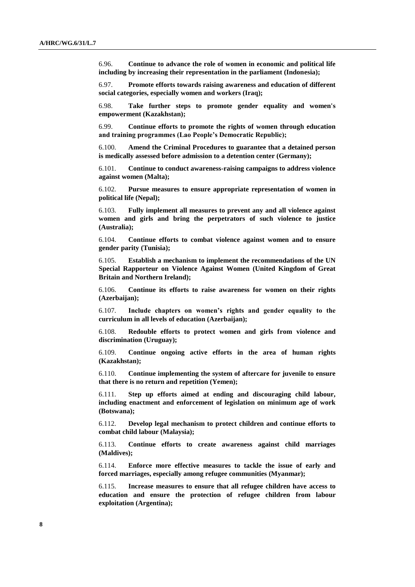6.96. **Continue to advance the role of women in economic and political life including by increasing their representation in the parliament (Indonesia);**

6.97. **Promote efforts towards raising awareness and education of different social categories, especially women and workers (Iraq);**

6.98. **Take further steps to promote gender equality and women's empowerment (Kazakhstan);**

6.99. **Continue efforts to promote the rights of women through education and training programmes (Lao People's Democratic Republic);**

6.100. **Amend the Criminal Procedures to guarantee that a detained person is medically assessed before admission to a detention center (Germany);**

6.101. **Continue to conduct awareness-raising campaigns to address violence against women (Malta);**

6.102. **Pursue measures to ensure appropriate representation of women in political life (Nepal);**

6.103. **Fully implement all measures to prevent any and all violence against women and girls and bring the perpetrators of such violence to justice (Australia);**

6.104. **Continue efforts to combat violence against women and to ensure gender parity (Tunisia);**

6.105. **Establish a mechanism to implement the recommendations of the UN Special Rapporteur on Violence Against Women (United Kingdom of Great Britain and Northern Ireland);**

6.106. **Continue its efforts to raise awareness for women on their rights (Azerbaijan);**

6.107. **Include chapters on women's rights and gender equality to the curriculum in all levels of education (Azerbaijan);**

6.108. **Redouble efforts to protect women and girls from violence and discrimination (Uruguay);**

6.109. **Continue ongoing active efforts in the area of human rights (Kazakhstan);**

6.110. **Continue implementing the system of aftercare for juvenile to ensure that there is no return and repetition (Yemen);**

6.111. **Step up efforts aimed at ending and discouraging child labour, including enactment and enforcement of legislation on minimum age of work (Botswana);**

6.112. **Develop legal mechanism to protect children and continue efforts to combat child labour (Malaysia);**

6.113. **Continue efforts to create awareness against child marriages (Maldives);**

6.114. **Enforce more effective measures to tackle the issue of early and forced marriages, especially among refugee communities (Myanmar);**

6.115. **Increase measures to ensure that all refugee children have access to education and ensure the protection of refugee children from labour exploitation (Argentina);**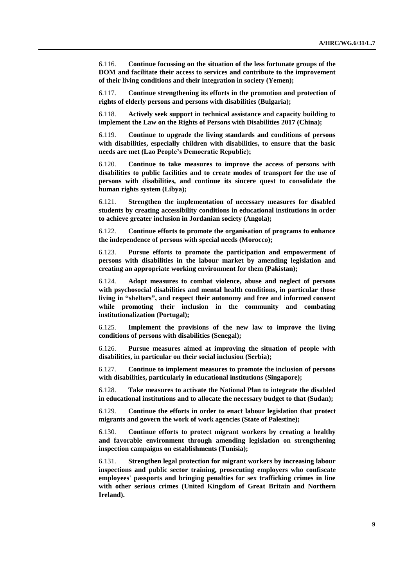6.116. **Continue focussing on the situation of the less fortunate groups of the DOM and facilitate their access to services and contribute to the improvement of their living conditions and their integration in society (Yemen);**

6.117. **Continue strengthening its efforts in the promotion and protection of rights of elderly persons and persons with disabilities (Bulgaria);**

6.118. **Actively seek support in technical assistance and capacity building to implement the Law on the Rights of Persons with Disabilities 2017 (China);**

6.119. **Continue to upgrade the living standards and conditions of persons with disabilities, especially children with disabilities, to ensure that the basic needs are met (Lao People's Democratic Republic);**

6.120. **Continue to take measures to improve the access of persons with disabilities to public facilities and to create modes of transport for the use of persons with disabilities, and continue its sincere quest to consolidate the human rights system (Libya);**

6.121. **Strengthen the implementation of necessary measures for disabled students by creating accessibility conditions in educational institutions in order to achieve greater inclusion in Jordanian society (Angola);**

6.122. **Continue efforts to promote the organisation of programs to enhance the independence of persons with special needs (Morocco);**

6.123. **Pursue efforts to promote the participation and empowerment of persons with disabilities in the labour market by amending legislation and creating an appropriate working environment for them (Pakistan);**

6.124. **Adopt measures to combat violence, abuse and neglect of persons with psychosocial disabilities and mental health conditions, in particular those living in "shelters", and respect their autonomy and free and informed consent while promoting their inclusion in the community and combating institutionalization (Portugal);**

6.125. **Implement the provisions of the new law to improve the living conditions of persons with disabilities (Senegal);**

6.126. **Pursue measures aimed at improving the situation of people with disabilities, in particular on their social inclusion (Serbia);**

6.127. **Continue to implement measures to promote the inclusion of persons with disabilities, particularly in educational institutions (Singapore);**

6.128. **Take measures to activate the National Plan to integrate the disabled in educational institutions and to allocate the necessary budget to that (Sudan);**

6.129. **Continue the efforts in order to enact labour legislation that protect migrants and govern the work of work agencies (State of Palestine);**

6.130. **Continue efforts to protect migrant workers by creating a healthy and favorable environment through amending legislation on strengthening inspection campaigns on establishments (Tunisia);**

6.131. **Strengthen legal protection for migrant workers by increasing labour inspections and public sector training, prosecuting employers who confiscate employees' passports and bringing penalties for sex trafficking crimes in line with other serious crimes (United Kingdom of Great Britain and Northern Ireland).**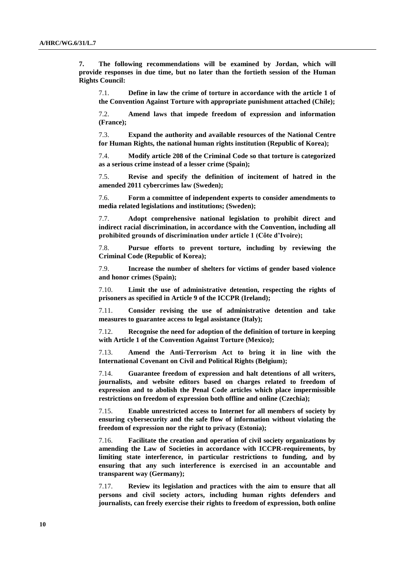**7. The following recommendations will be examined by Jordan, which will provide responses in due time, but no later than the fortieth session of the Human Rights Council:**

7.1. **Define in law the crime of torture in accordance with the article 1 of the Convention Against Torture with appropriate punishment attached (Chile);**

7.2. **Amend laws that impede freedom of expression and information (France);**

7.3. **Expand the authority and available resources of the National Centre for Human Rights, the national human rights institution (Republic of Korea);**

7.4. **Modify article 208 of the Criminal Code so that torture is categorized as a serious crime instead of a lesser crime (Spain);**

7.5. **Revise and specify the definition of incitement of hatred in the amended 2011 cybercrimes law (Sweden);**

7.6. **Form a committee of independent experts to consider amendments to media related legislations and institutions; (Sweden);**

7.7. **Adopt comprehensive national legislation to prohibit direct and indirect racial discrimination, in accordance with the Convention, including all prohibited grounds of discrimination under article 1 (Côte d'Ivoire);**

7.8. **Pursue efforts to prevent torture, including by reviewing the Criminal Code (Republic of Korea);**

7.9. **Increase the number of shelters for victims of gender based violence and honor crimes (Spain);**

7.10. **Limit the use of administrative detention, respecting the rights of prisoners as specified in Article 9 of the ICCPR (Ireland);**

7.11. **Consider revising the use of administrative detention and take measures to guarantee access to legal assistance (Italy);**

7.12. **Recognise the need for adoption of the definition of torture in keeping with Article 1 of the Convention Against Torture (Mexico);**

7.13. **Amend the Anti-Terrorism Act to bring it in line with the International Covenant on Civil and Political Rights (Belgium);**

7.14. **Guarantee freedom of expression and halt detentions of all writers, journalists, and website editors based on charges related to freedom of expression and to abolish the Penal Code articles which place impermissible restrictions on freedom of expression both offline and online (Czechia);**

7.15. **Enable unrestricted access to Internet for all members of society by ensuring cybersecurity and the safe flow of information without violating the freedom of expression nor the right to privacy (Estonia);**

7.16. **Facilitate the creation and operation of civil society organizations by amending the Law of Societies in accordance with ICCPR-requirements, by limiting state interference, in particular restrictions to funding, and by ensuring that any such interference is exercised in an accountable and transparent way (Germany);**

7.17. **Review its legislation and practices with the aim to ensure that all persons and civil society actors, including human rights defenders and journalists, can freely exercise their rights to freedom of expression, both online**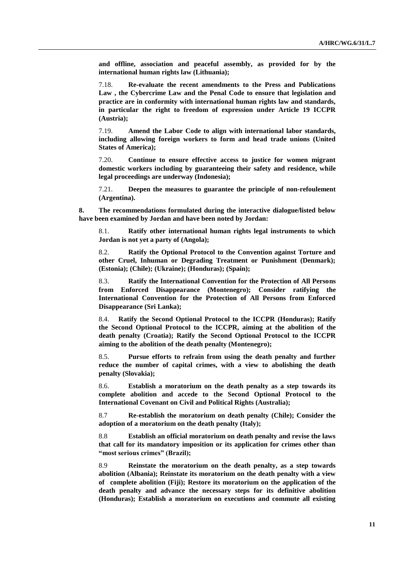**and offline, association and peaceful assembly, as provided for by the international human rights law (Lithuania);**

7.18. **Re-evaluate the recent amendments to the Press and Publications Law , the Cybercrime Law and the Penal Code to ensure that legislation and practice are in conformity with international human rights law and standards, in particular the right to freedom of expression under Article 19 ICCPR (Austria);**

7.19. **Amend the Labor Code to align with international labor standards, including allowing foreign workers to form and head trade unions (United States of America);**

7.20. **Continue to ensure effective access to justice for women migrant domestic workers including by guaranteeing their safety and residence, while legal proceedings are underway (Indonesia);**

7.21. **Deepen the measures to guarantee the principle of non-refoulement (Argentina).**

**8. The recommendations formulated during the interactive dialogue/listed below have been examined by Jordan and have been noted by Jordan:**

8.1. **Ratify other international human rights legal instruments to which Jordan is not yet a party of (Angola);**

8.2. **Ratify the Optional Protocol to the Convention against Torture and other Cruel, Inhuman or Degrading Treatment or Punishment (Denmark); (Estonia); (Chile); (Ukraine); (Honduras); (Spain);**

8.3. **Ratify the International Convention for the Protection of All Persons from Enforced Disappearance (Montenegro); Consider ratifying the International Convention for the Protection of All Persons from Enforced Disappearance (Sri Lanka);**

8.4. **Ratify the Second Optional Protocol to the ICCPR (Honduras); Ratify the Second Optional Protocol to the ICCPR, aiming at the abolition of the death penalty (Croatia); Ratify the Second Optional Protocol to the ICCPR aiming to the abolition of the death penalty (Montenegro);**

8.5. **Pursue efforts to refrain from using the death penalty and further reduce the number of capital crimes, with a view to abolishing the death penalty (Slovakia);**

8.6. **Establish a moratorium on the death penalty as a step towards its complete abolition and accede to the Second Optional Protocol to the International Covenant on Civil and Political Rights (Australia);**

8.7 **Re-establish the moratorium on death penalty (Chile); Consider the adoption of a moratorium on the death penalty (Italy);**

8.8 **Establish an official moratorium on death penalty and revise the laws that call for its mandatory imposition or its application for crimes other than "most serious crimes" (Brazil);**

8.9 **Reinstate the moratorium on the death penalty, as a step towards abolition (Albania); Reinstate its moratorium on the death penalty with a view of complete abolition (Fiji); Restore its moratorium on the application of the death penalty and advance the necessary steps for its definitive abolition (Honduras); Establish a moratorium on executions and commute all existing**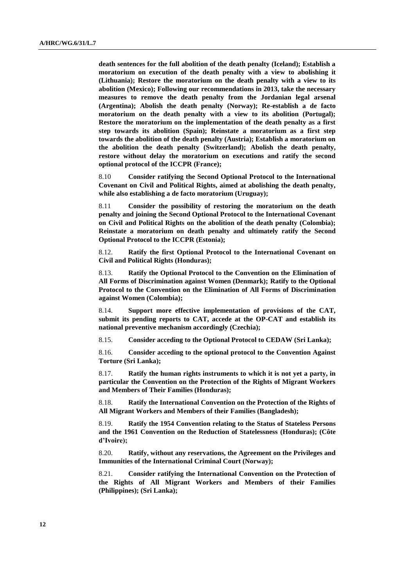**death sentences for the full abolition of the death penalty (Iceland); Establish a moratorium on execution of the death penalty with a view to abolishing it (Lithuania); Restore the moratorium on the death penalty with a view to its abolition (Mexico); Following our recommendations in 2013, take the necessary measures to remove the death penalty from the Jordanian legal arsenal (Argentina); Abolish the death penalty (Norway); Re-establish a de facto moratorium on the death penalty with a view to its abolition (Portugal); Restore the moratorium on the implementation of the death penalty as a first step towards its abolition (Spain); Reinstate a moratorium as a first step towards the abolition of the death penalty (Austria); Establish a moratorium on the abolition the death penalty (Switzerland); Abolish the death penalty, restore without delay the moratorium on executions and ratify the second optional protocol of the ICCPR (France);**

8.10 **Consider ratifying the Second Optional Protocol to the International Covenant on Civil and Political Rights, aimed at abolishing the death penalty, while also establishing a de facto moratorium (Uruguay);**

8.11 **Consider the possibility of restoring the moratorium on the death penalty and joining the Second Optional Protocol to the International Covenant on Civil and Political Rights on the abolition of the death penalty (Colombia); Reinstate a moratorium on death penalty and ultimately ratify the Second Optional Protocol to the ICCPR (Estonia);**

8.12. **Ratify the first Optional Protocol to the International Covenant on Civil and Political Rights (Honduras);**

8.13. **Ratify the Optional Protocol to the Convention on the Elimination of All Forms of Discrimination against Women (Denmark); Ratify to the Optional Protocol to the Convention on the Elimination of All Forms of Discrimination against Women (Colombia);**

8.14. **Support more effective implementation of provisions of the CAT, submit its pending reports to CAT, accede at the OP-CAT and establish its national preventive mechanism accordingly (Czechia);**

8.15. **Consider acceding to the Optional Protocol to CEDAW (Sri Lanka);**

8.16. **Consider acceding to the optional protocol to the Convention Against Torture (Sri Lanka);**

8.17. **Ratify the human rights instruments to which it is not yet a party, in particular the Convention on the Protection of the Rights of Migrant Workers and Members of Their Families (Honduras);**

8.18. **Ratify the International Convention on the Protection of the Rights of All Migrant Workers and Members of their Families (Bangladesh);**

8.19. **Ratify the 1954 Convention relating to the Status of Stateless Persons and the 1961 Convention on the Reduction of Statelessness (Honduras); (Côte d'Ivoire);**

8.20. **Ratify, without any reservations, the Agreement on the Privileges and Immunities of the International Criminal Court (Norway);**

8.21. **Consider ratifying the International Convention on the Protection of the Rights of All Migrant Workers and Members of their Families (Philippines); (Sri Lanka);**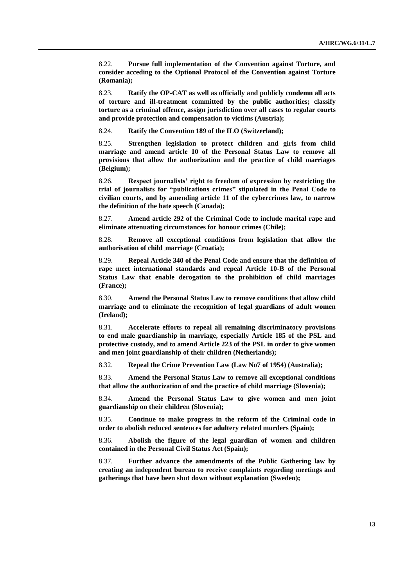8.22. **Pursue full implementation of the Convention against Torture, and consider acceding to the Optional Protocol of the Convention against Torture (Romania);**

8.23. **Ratify the OP-CAT as well as officially and publicly condemn all acts of torture and ill-treatment committed by the public authorities; classify torture as a criminal offence, assign jurisdiction over all cases to regular courts and provide protection and compensation to victims (Austria);**

8.24. **Ratify the Convention 189 of the ILO (Switzerland);**

8.25. **Strengthen legislation to protect children and girls from child marriage and amend article 10 of the Personal Status Law to remove all provisions that allow the authorization and the practice of child marriages (Belgium);**

8.26. **Respect journalists' right to freedom of expression by restricting the trial of journalists for "publications crimes" stipulated in the Penal Code to civilian courts, and by amending article 11 of the cybercrimes law, to narrow the definition of the hate speech (Canada);**

8.27. **Amend article 292 of the Criminal Code to include marital rape and eliminate attenuating circumstances for honour crimes (Chile);**

8.28. **Remove all exceptional conditions from legislation that allow the authorisation of child marriage (Croatia);**

8.29. **Repeal Article 340 of the Penal Code and ensure that the definition of rape meet international standards and repeal Article 10-B of the Personal Status Law that enable derogation to the prohibition of child marriages (France);**

8.30. **Amend the Personal Status Law to remove conditions that allow child marriage and to eliminate the recognition of legal guardians of adult women (Ireland);**

8.31. **Accelerate efforts to repeal all remaining discriminatory provisions to end male guardianship in marriage, especially Article 185 of the PSL and protective custody, and to amend Article 223 of the PSL in order to give women and men joint guardianship of their children (Netherlands);**

8.32. **Repeal the Crime Prevention Law (Law No7 of 1954) (Australia);**

8.33. **Amend the Personal Status Law to remove all exceptional conditions that allow the authorization of and the practice of child marriage (Slovenia);**

8.34. **Amend the Personal Status Law to give women and men joint guardianship on their children (Slovenia);**

8.35. **Continue to make progress in the reform of the Criminal code in order to abolish reduced sentences for adultery related murders (Spain);**

8.36. **Abolish the figure of the legal guardian of women and children contained in the Personal Civil Status Act (Spain);**

8.37. **Further advance the amendments of the Public Gathering law by creating an independent bureau to receive complaints regarding meetings and gatherings that have been shut down without explanation (Sweden);**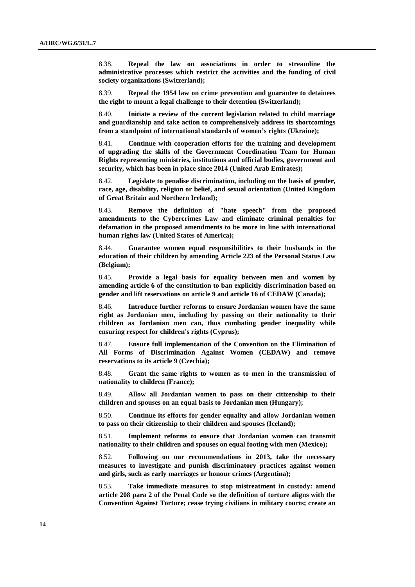8.38. **Repeal the law on associations in order to streamline the administrative processes which restrict the activities and the funding of civil society organizations (Switzerland);**

8.39. **Repeal the 1954 law on crime prevention and guarantee to detainees the right to mount a legal challenge to their detention (Switzerland);**

8.40. **Initiate a review of the current legislation related to child marriage and guardianship and take action to comprehensively address its shortcomings from a standpoint of international standards of women's rights (Ukraine);**

8.41. **Continue with cooperation efforts for the training and development of upgrading the skills of the Government Coordination Team for Human Rights representing ministries, institutions and official bodies, government and security, which has been in place since 2014 (United Arab Emirates);**

8.42. **Legislate to penalise discrimination, including on the basis of gender, race, age, disability, religion or belief, and sexual orientation (United Kingdom of Great Britain and Northern Ireland);**

8.43. **Remove the definition of "hate speech" from the proposed amendments to the Cybercrimes Law and eliminate criminal penalties for defamation in the proposed amendments to be more in line with international human rights law (United States of America);**

8.44. **Guarantee women equal responsibilities to their husbands in the education of their children by amending Article 223 of the Personal Status Law (Belgium);**

8.45. **Provide a legal basis for equality between men and women by amending article 6 of the constitution to ban explicitly discrimination based on gender and lift reservations on article 9 and article 16 of CEDAW (Canada);**

8.46. **Introduce further reforms to ensure Jordanian women have the same right as Jordanian men, including by passing on their nationality to their children as Jordanian men can, thus combating gender inequality while ensuring respect for children's rights (Cyprus);**

8.47. **Ensure full implementation of the Convention on the Elimination of All Forms of Discrimination Against Women (CEDAW) and remove reservations to its article 9 (Czechia);**

8.48. **Grant the same rights to women as to men in the transmission of nationality to children (France);**

8.49. **Allow all Jordanian women to pass on their citizenship to their children and spouses on an equal basis to Jordanian men (Hungary);**

8.50. **Continue its efforts for gender equality and allow Jordanian women to pass on their citizenship to their children and spouses (Iceland);**

8.51. **Implement reforms to ensure that Jordanian women can transmit nationality to their children and spouses on equal footing with men (Mexico);**

8.52. **Following on our recommendations in 2013, take the necessary measures to investigate and punish discriminatory practices against women and girls, such as early marriages or honour crimes (Argentina);**

8.53. **Take immediate measures to stop mistreatment in custody: amend article 208 para 2 of the Penal Code so the definition of torture aligns with the Convention Against Torture; cease trying civilians in military courts; create an**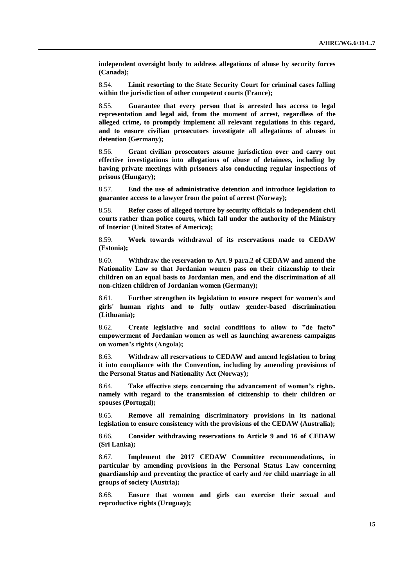**independent oversight body to address allegations of abuse by security forces (Canada);**

8.54. **Limit resorting to the State Security Court for criminal cases falling within the jurisdiction of other competent courts (France);**

8.55. **Guarantee that every person that is arrested has access to legal representation and legal aid, from the moment of arrest, regardless of the alleged crime, to promptly implement all relevant regulations in this regard, and to ensure civilian prosecutors investigate all allegations of abuses in detention (Germany);**

8.56. **Grant civilian prosecutors assume jurisdiction over and carry out effective investigations into allegations of abuse of detainees, including by having private meetings with prisoners also conducting regular inspections of prisons (Hungary);**

8.57. **End the use of administrative detention and introduce legislation to guarantee access to a lawyer from the point of arrest (Norway);**

8.58. **Refer cases of alleged torture by security officials to independent civil courts rather than police courts, which fall under the authority of the Ministry of Interior (United States of America);**

8.59. **Work towards withdrawal of its reservations made to CEDAW (Estonia);**

8.60. **Withdraw the reservation to Art. 9 para.2 of CEDAW and amend the Nationality Law so that Jordanian women pass on their citizenship to their children on an equal basis to Jordanian men, and end the discrimination of all non-citizen children of Jordanian women (Germany);**

8.61. **Further strengthen its legislation to ensure respect for women's and girls' human rights and to fully outlaw gender-based discrimination (Lithuania);**

8.62. **Create legislative and social conditions to allow to "de facto" empowerment of Jordanian women as well as launching awareness campaigns on women's rights (Angola);**

8.63. **Withdraw all reservations to CEDAW and amend legislation to bring it into compliance with the Convention, including by amending provisions of the Personal Status and Nationality Act (Norway);**

8.64. **Take effective steps concerning the advancement of women's rights, namely with regard to the transmission of citizenship to their children or spouses (Portugal);**

8.65. **Remove all remaining discriminatory provisions in its national legislation to ensure consistency with the provisions of the CEDAW (Australia);**

8.66. **Consider withdrawing reservations to Article 9 and 16 of CEDAW (Sri Lanka);**

8.67. **Implement the 2017 CEDAW Committee recommendations, in particular by amending provisions in the Personal Status Law concerning guardianship and preventing the practice of early and /or child marriage in all groups of society (Austria);**

8.68. **Ensure that women and girls can exercise their sexual and reproductive rights (Uruguay);**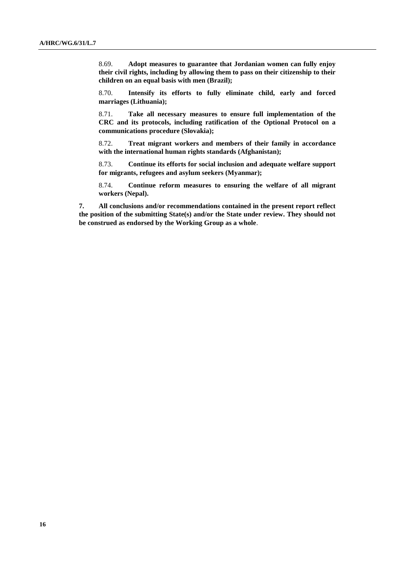8.69. **Adopt measures to guarantee that Jordanian women can fully enjoy their civil rights, including by allowing them to pass on their citizenship to their children on an equal basis with men (Brazil);**

8.70. **Intensify its efforts to fully eliminate child, early and forced marriages (Lithuania);**

8.71. **Take all necessary measures to ensure full implementation of the CRC and its protocols, including ratification of the Optional Protocol on a communications procedure (Slovakia);**

8.72. **Treat migrant workers and members of their family in accordance with the international human rights standards (Afghanistan);**

8.73. **Continue its efforts for social inclusion and adequate welfare support for migrants, refugees and asylum seekers (Myanmar);**

8.74. **Continue reform measures to ensuring the welfare of all migrant workers (Nepal).**

**7. All conclusions and/or recommendations contained in the present report reflect the position of the submitting State(s) and/or the State under review. They should not be construed as endorsed by the Working Group as a whole**.